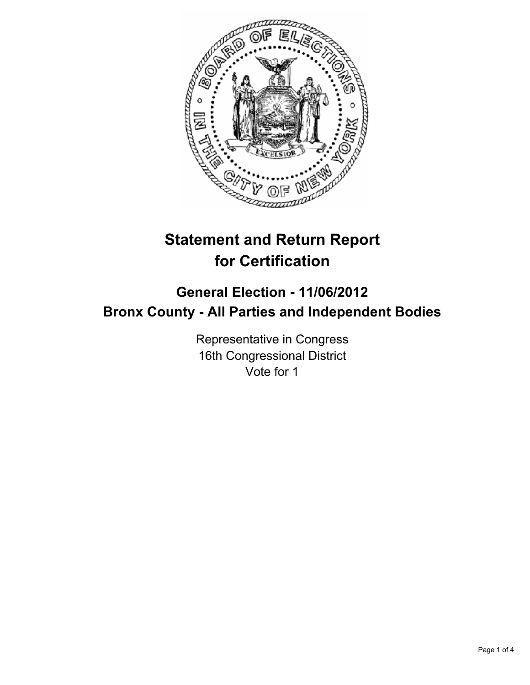

# **Statement and Return Report for Certification**

## **General Election - 11/06/2012 Bronx County - All Parties and Independent Bodies**

Representative in Congress 16th Congressional District Vote for 1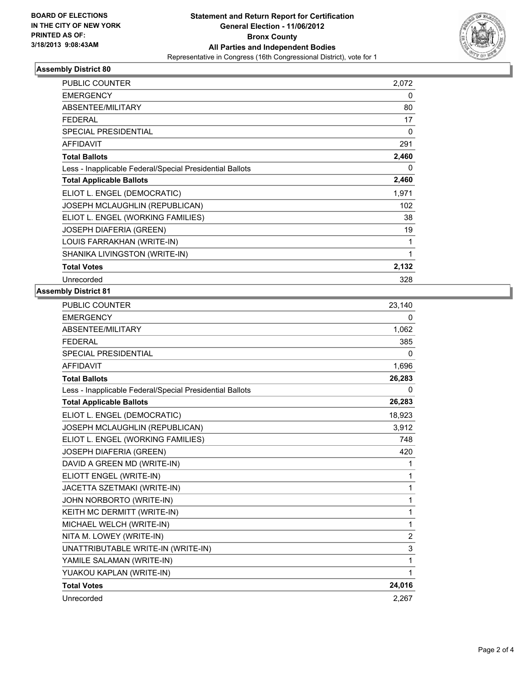

#### **Assembly District 80**

| PUBLIC COUNTER                                           | 2,072        |
|----------------------------------------------------------|--------------|
| <b>EMERGENCY</b>                                         | 0            |
| ABSENTEE/MILITARY                                        | 80           |
| <b>FEDERAL</b>                                           | 17           |
| SPECIAL PRESIDENTIAL                                     | $\mathbf{0}$ |
| <b>AFFIDAVIT</b>                                         | 291          |
| <b>Total Ballots</b>                                     | 2,460        |
| Less - Inapplicable Federal/Special Presidential Ballots | 0            |
| <b>Total Applicable Ballots</b>                          | 2,460        |
| ELIOT L. ENGEL (DEMOCRATIC)                              | 1,971        |
| JOSEPH MCLAUGHLIN (REPUBLICAN)                           | 102          |
| ELIOT L. ENGEL (WORKING FAMILIES)                        | 38           |
| <b>JOSEPH DIAFERIA (GREEN)</b>                           | 19           |
| LOUIS FARRAKHAN (WRITE-IN)                               | 1            |
| SHANIKA LIVINGSTON (WRITE-IN)                            | 1            |
| <b>Total Votes</b>                                       | 2,132        |
| Unrecorded                                               | 328          |

#### **Assembly District 81**

| <b>PUBLIC COUNTER</b>                                    | 23,140         |
|----------------------------------------------------------|----------------|
| <b>EMERGENCY</b>                                         | 0              |
| ABSENTEE/MILITARY                                        | 1,062          |
| <b>FEDERAL</b>                                           | 385            |
| <b>SPECIAL PRESIDENTIAL</b>                              | $\Omega$       |
| <b>AFFIDAVIT</b>                                         | 1,696          |
| <b>Total Ballots</b>                                     | 26,283         |
| Less - Inapplicable Federal/Special Presidential Ballots | 0              |
| <b>Total Applicable Ballots</b>                          | 26,283         |
| ELIOT L. ENGEL (DEMOCRATIC)                              | 18,923         |
| JOSEPH MCLAUGHLIN (REPUBLICAN)                           | 3,912          |
| ELIOT L. ENGEL (WORKING FAMILIES)                        | 748            |
| <b>JOSEPH DIAFERIA (GREEN)</b>                           | 420            |
| DAVID A GREEN MD (WRITE-IN)                              | 1              |
| ELIOTT ENGEL (WRITE-IN)                                  | 1              |
| JACETTA SZETMAKI (WRITE-IN)                              | 1              |
| JOHN NORBORTO (WRITE-IN)                                 | 1              |
| KEITH MC DERMITT (WRITE-IN)                              | 1              |
| MICHAEL WELCH (WRITE-IN)                                 | 1              |
| NITA M. LOWEY (WRITE-IN)                                 | $\overline{2}$ |
| UNATTRIBUTABLE WRITE-IN (WRITE-IN)                       | 3              |
| YAMILE SALAMAN (WRITE-IN)                                | 1              |
| YUAKOU KAPLAN (WRITE-IN)                                 | 1              |
| <b>Total Votes</b>                                       | 24,016         |
| Unrecorded                                               | 2,267          |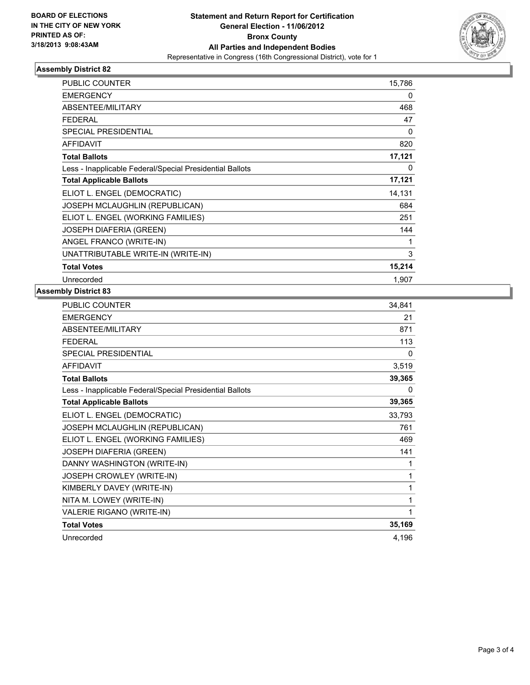

#### **Assembly District 82**

| <b>PUBLIC COUNTER</b>                                    | 15,786 |
|----------------------------------------------------------|--------|
| <b>EMERGENCY</b>                                         | 0      |
| ABSENTEE/MILITARY                                        | 468    |
| <b>FEDERAL</b>                                           | 47     |
| <b>SPECIAL PRESIDENTIAL</b>                              | 0      |
| <b>AFFIDAVIT</b>                                         | 820    |
| <b>Total Ballots</b>                                     | 17,121 |
| Less - Inapplicable Federal/Special Presidential Ballots | 0      |
| <b>Total Applicable Ballots</b>                          | 17,121 |
| ELIOT L. ENGEL (DEMOCRATIC)                              | 14,131 |
| JOSEPH MCLAUGHLIN (REPUBLICAN)                           | 684    |
| ELIOT L. ENGEL (WORKING FAMILIES)                        | 251    |
| <b>JOSEPH DIAFERIA (GREEN)</b>                           | 144    |
| ANGEL FRANCO (WRITE-IN)                                  | 1      |
| UNATTRIBUTABLE WRITE-IN (WRITE-IN)                       | 3      |
| <b>Total Votes</b>                                       | 15,214 |
| Unrecorded                                               | 1,907  |

### **Assembly District 83**

| PUBLIC COUNTER                                           | 34,841 |
|----------------------------------------------------------|--------|
| <b>EMERGENCY</b>                                         | 21     |
| ABSENTEE/MILITARY                                        | 871    |
| <b>FFDFRAL</b>                                           | 113    |
| <b>SPECIAL PRESIDENTIAL</b>                              | 0      |
| <b>AFFIDAVIT</b>                                         | 3,519  |
| <b>Total Ballots</b>                                     | 39,365 |
| Less - Inapplicable Federal/Special Presidential Ballots | 0      |
| <b>Total Applicable Ballots</b>                          | 39,365 |
| ELIOT L. ENGEL (DEMOCRATIC)                              | 33,793 |
| JOSEPH MCLAUGHLIN (REPUBLICAN)                           | 761    |
| ELIOT L. ENGEL (WORKING FAMILIES)                        | 469    |
| <b>JOSEPH DIAFERIA (GREEN)</b>                           | 141    |
| DANNY WASHINGTON (WRITE-IN)                              | 1      |
| JOSEPH CROWLEY (WRITE-IN)                                | 1      |
| KIMBERLY DAVEY (WRITE-IN)                                | 1      |
| NITA M. LOWEY (WRITE-IN)                                 | 1      |
| VALERIE RIGANO (WRITE-IN)                                | 1      |
| <b>Total Votes</b>                                       | 35,169 |
| Unrecorded                                               | 4,196  |
|                                                          |        |